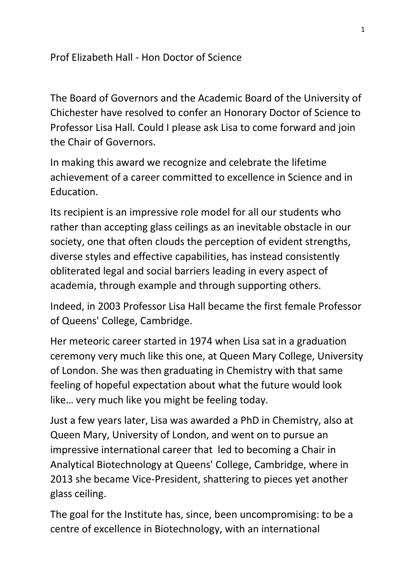The Board of Governors and the Academic Board of the University of Chichester have resolved to confer an Honorary Doctor of Science to Professor Lisa Hall. Could I please ask Lisa to come forward and join the Chair of Governors.

In making this award we recognize and celebrate the lifetime achievement of a career committed to excellence in Science and in Education.

Its recipient is an impressive role model for all our students who rather than accepting glass ceilings as an inevitable obstacle in our society, one that often clouds the perception of evident strengths, diverse styles and effective capabilities, has instead consistently obliterated legal and social barriers leading in every aspect of academia, through example and through supporting others.

Indeed, in 2003 Professor Lisa Hall became the first female Professor of Queens' College, Cambridge.

Her meteoric career started in 1974 when Lisa sat in a graduation ceremony very much like this one, at Queen Mary College, University of London. She was then graduating in Chemistry with that same feeling of hopeful expectation about what the future would look like… very much like you might be feeling today.

Just a few years later, Lisa was awarded a PhD in Chemistry, also at Queen Mary, University of London, and went on to pursue an impressive international career that led to becoming a Chair in Analytical Biotechnology at Queens' College, Cambridge, where in 2013 she became Vice-President, shattering to pieces yet another glass ceiling.

The goal for the Institute has, since, been uncompromising: to be a centre of excellence in Biotechnology, with an international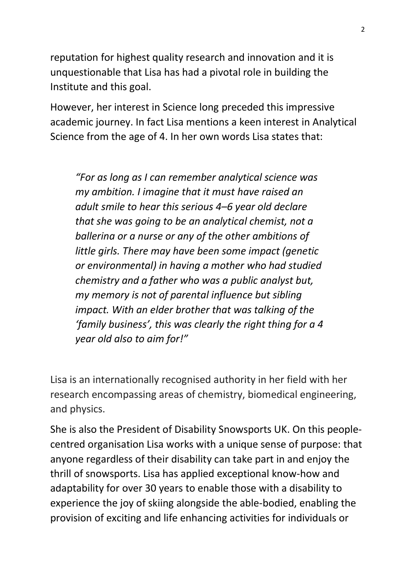reputation for highest quality research and innovation and it is unquestionable that Lisa has had a pivotal role in building the Institute and this goal.

However, her interest in Science long preceded this impressive academic journey. In fact Lisa mentions a keen interest in Analytical Science from the age of 4. In her own words Lisa states that:

*"For as long as I can remember analytical science was my ambition. I imagine that it must have raised an adult smile to hear this serious 4–6 year old declare that she was going to be an analytical chemist, not a ballerina or a nurse or any of the other ambitions of little girls. There may have been some impact (genetic or environmental) in having a mother who had studied chemistry and a father who was a public analyst but, my memory is not of parental influence but sibling impact. With an elder brother that was talking of the 'family business', this was clearly the right thing for a 4 year old also to aim for!"*

Lisa is an internationally recognised authority in her field with her research encompassing areas of chemistry, biomedical engineering, and physics.

She is also the President of Disability Snowsports UK. On this peoplecentred organisation Lisa works with a unique sense of purpose: that anyone regardless of their disability can take part in and enjoy the thrill of snowsports. Lisa has applied exceptional know-how and adaptability for over 30 years to enable those with a disability to experience the joy of skiing alongside the able-bodied, enabling the provision of exciting and life enhancing activities for individuals or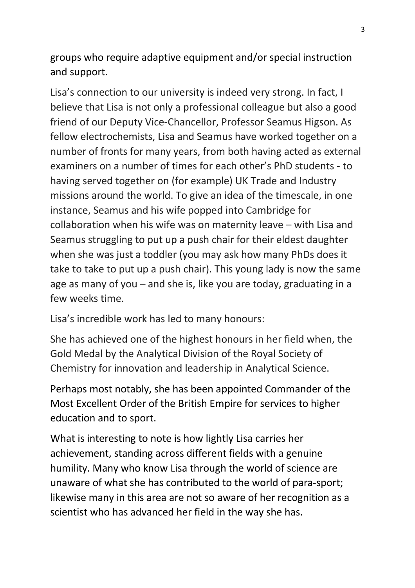groups who require adaptive equipment and/or special instruction and support.

Lisa's connection to our university is indeed very strong. In fact, I believe that Lisa is not only a professional colleague but also a good friend of our Deputy Vice-Chancellor, Professor Seamus Higson. As fellow electrochemists, Lisa and Seamus have worked together on a number of fronts for many years, from both having acted as external examiners on a number of times for each other's PhD students - to having served together on (for example) UK Trade and Industry missions around the world. To give an idea of the timescale, in one instance, Seamus and his wife popped into Cambridge for collaboration when his wife was on maternity leave – with Lisa and Seamus struggling to put up a push chair for their eldest daughter when she was just a toddler (you may ask how many PhDs does it take to take to put up a push chair). This young lady is now the same age as many of you – and she is, like you are today, graduating in a few weeks time.

Lisa's incredible work has led to many honours:

She has achieved one of the highest honours in her field when, the Gold Medal by the Analytical Division of the Royal Society of Chemistry for innovation and leadership in Analytical Science.

Perhaps most notably, she has been appointed Commander of the Most Excellent Order of the British Empire for services to higher education and to sport.

What is interesting to note is how lightly Lisa carries her achievement, standing across different fields with a genuine humility. Many who know Lisa through the world of science are unaware of what she has contributed to the world of para-sport; likewise many in this area are not so aware of her recognition as a scientist who has advanced her field in the way she has.